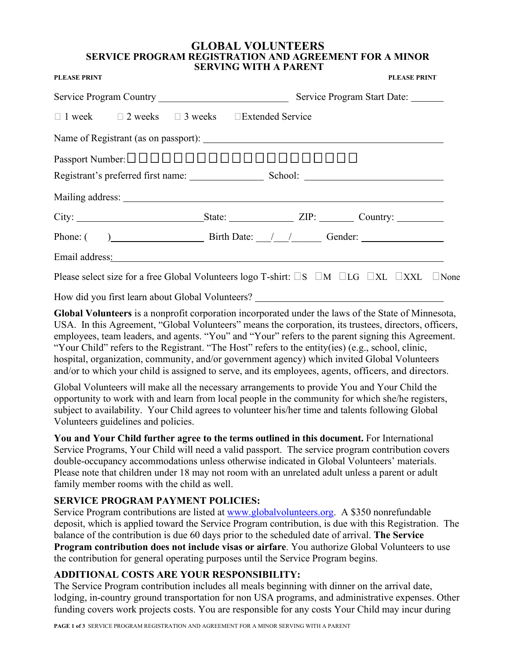#### **GLOBAL VOLUNTEERS SERVICE PROGRAM REGISTRATION AND AGREEMENT FOR A MINOR SERVING WITH A PARENT**

| <b>PLEASE PRINT</b>                                                                                                                                                                                                            | <b>PLEASE PRINT</b>                 |
|--------------------------------------------------------------------------------------------------------------------------------------------------------------------------------------------------------------------------------|-------------------------------------|
|                                                                                                                                                                                                                                | Service Program Start Date: _______ |
| □ 1 week □ 2 weeks □ 3 weeks □ Extended Service                                                                                                                                                                                |                                     |
|                                                                                                                                                                                                                                |                                     |
|                                                                                                                                                                                                                                |                                     |
|                                                                                                                                                                                                                                |                                     |
|                                                                                                                                                                                                                                |                                     |
| City: City: City: Cuntry:                                                                                                                                                                                                      |                                     |
| Phone: $( )$ Dirth Date: $/ /$ Gender:  Gender:                                                                                                                                                                                |                                     |
| Email address: Value of the Contract of the Contract of the Contract of the Contract of the Contract of the Contract of the Contract of the Contract of the Contract of the Contract of the Contract of the Contract of the Co |                                     |
|                                                                                                                                                                                                                                |                                     |

Please select size for a free Global Volunteers logo T-shirt:  $\square$ S  $\square$ M  $\square$ LG  $\square$ XL  $\square$ XXL  $\square$ None

How did you first learn about Global Volunteers?

**Global Volunteers** is a nonprofit corporation incorporated under the laws of the State of Minnesota, USA. In this Agreement, "Global Volunteers" means the corporation, its trustees, directors, officers, employees, team leaders, and agents. "You" and "Your" refers to the parent signing this Agreement. "Your Child" refers to the Registrant. "The Host" refers to the entity(ies) (e.g., school, clinic, hospital, organization, community, and/or government agency) which invited Global Volunteers and/or to which your child is assigned to serve, and its employees, agents, officers, and directors.

Global Volunteers will make all the necessary arrangements to provide You and Your Child the opportunity to work with and learn from local people in the community for which she/he registers, subject to availability. Your Child agrees to volunteer his/her time and talents following Global Volunteers guidelines and policies.

**You and Your Child further agree to the terms outlined in this document.** For International Service Programs, Your Child will need a valid passport. The service program contribution covers double-occupancy accommodations unless otherwise indicated in Global Volunteers' materials. Please note that children under 18 may not room with an unrelated adult unless a parent or adult family member rooms with the child as well.

#### **SERVICE PROGRAM PAYMENT POLICIES:**

Service Program contributions are listed at [www.globalvolunteers.org.](http://www.globalvolunteers.org/) A \$350 nonrefundable deposit, which is applied toward the Service Program contribution, is due with this Registration. The balance of the contribution is due 60 days prior to the scheduled date of arrival. **The Service Program contribution does not include visas or airfare**. You authorize Global Volunteers to use the contribution for general operating purposes until the Service Program begins.

#### **ADDITIONAL COSTS ARE YOUR RESPONSIBILITY:**

The Service Program contribution includes all meals beginning with dinner on the arrival date, lodging, in-country ground transportation for non USA programs, and administrative expenses. Other funding covers work projects costs. You are responsible for any costs Your Child may incur during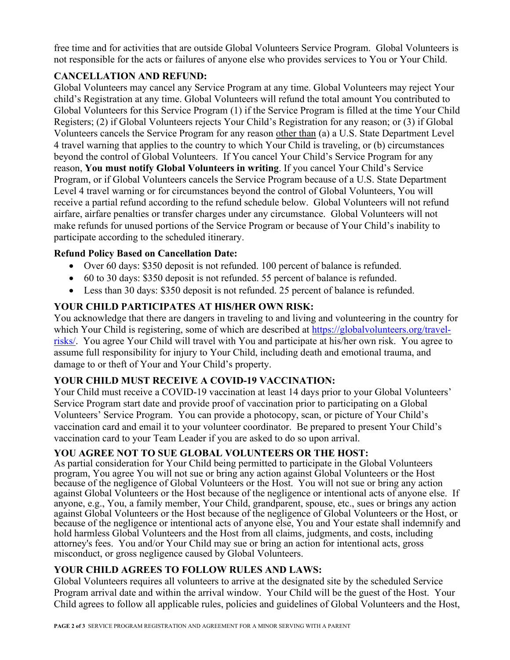free time and for activities that are outside Global Volunteers Service Program. Global Volunteers is not responsible for the acts or failures of anyone else who provides services to You or Your Child.

### **CANCELLATION AND REFUND:**

Global Volunteers may cancel any Service Program at any time. Global Volunteers may reject Your child's Registration at any time. Global Volunteers will refund the total amount You contributed to Global Volunteers for this Service Program (1) if the Service Program is filled at the time Your Child Registers; (2) if Global Volunteers rejects Your Child's Registration for any reason; or (3) if Global Volunteers cancels the Service Program for any reason other than (a) a U.S. State Department Level 4 travel warning that applies to the country to which Your Child is traveling, or (b) circumstances beyond the control of Global Volunteers. If You cancel Your Child's Service Program for any reason, **You must notify Global Volunteers in writing**. If you cancel Your Child's Service Program, or if Global Volunteers cancels the Service Program because of a U.S. State Department Level 4 travel warning or for circumstances beyond the control of Global Volunteers, You will receive a partial refund according to the refund schedule below. Global Volunteers will not refund airfare, airfare penalties or transfer charges under any circumstance. Global Volunteers will not make refunds for unused portions of the Service Program or because of Your Child's inability to participate according to the scheduled itinerary.

### **Refund Policy Based on Cancellation Date:**

- Over 60 days: \$350 deposit is not refunded. 100 percent of balance is refunded.
- 60 to 30 days: \$350 deposit is not refunded. 55 percent of balance is refunded.
- Less than 30 days: \$350 deposit is not refunded. 25 percent of balance is refunded.

# **YOUR CHILD PARTICIPATES AT HIS/HER OWN RISK:**

You acknowledge that there are dangers in traveling to and living and volunteering in the country for which Your Child is registering, some of which are described at [https://globalvolunteers.org/travel](https://globalvolunteers.org/travel-risks/)[risks/.](https://globalvolunteers.org/travel-risks/) You agree Your Child will travel with You and participate at his/her own risk. You agree to assume full responsibility for injury to Your Child, including death and emotional trauma, and damage to or theft of Your and Your Child's property.

# **YOUR CHILD MUST RECEIVE A COVID-19 VACCINATION:**

Your Child must receive a COVID-19 vaccination at least 14 days prior to your Global Volunteers' Service Program start date and provide proof of vaccination prior to participating on a Global Volunteers' Service Program. You can provide a photocopy, scan, or picture of Your Child's vaccination card and email it to your volunteer coordinator. Be prepared to present Your Child's vaccination card to your Team Leader if you are asked to do so upon arrival.

# **YOU AGREE NOT TO SUE GLOBAL VOLUNTEERS OR THE HOST:**

As partial consideration for Your Child being permitted to participate in the Global Volunteers program, You agree You will not sue or bring any action against Global Volunteers or the Host because of the negligence of Global Volunteers or the Host. You will not sue or bring any action against Global Volunteers or the Host because of the negligence or intentional acts of anyone else. If anyone, e.g., You, a family member, Your Child, grandparent, spouse, etc., sues or brings any action against Global Volunteers or the Host because of the negligence of Global Volunteers or the Host, or because of the negligence or intentional acts of anyone else, You and Your estate shall indemnify and hold harmless Global Volunteers and the Host from all claims, judgments, and costs, including attorney's fees. You and/or Your Child may sue or bring an action for intentional acts, gross misconduct, or gross negligence caused by Global Volunteers.

# **YOUR CHILD AGREES TO FOLLOW RULES AND LAWS:**

Global Volunteers requires all volunteers to arrive at the designated site by the scheduled Service Program arrival date and within the arrival window. Your Child will be the guest of the Host. Your Child agrees to follow all applicable rules, policies and guidelines of Global Volunteers and the Host,